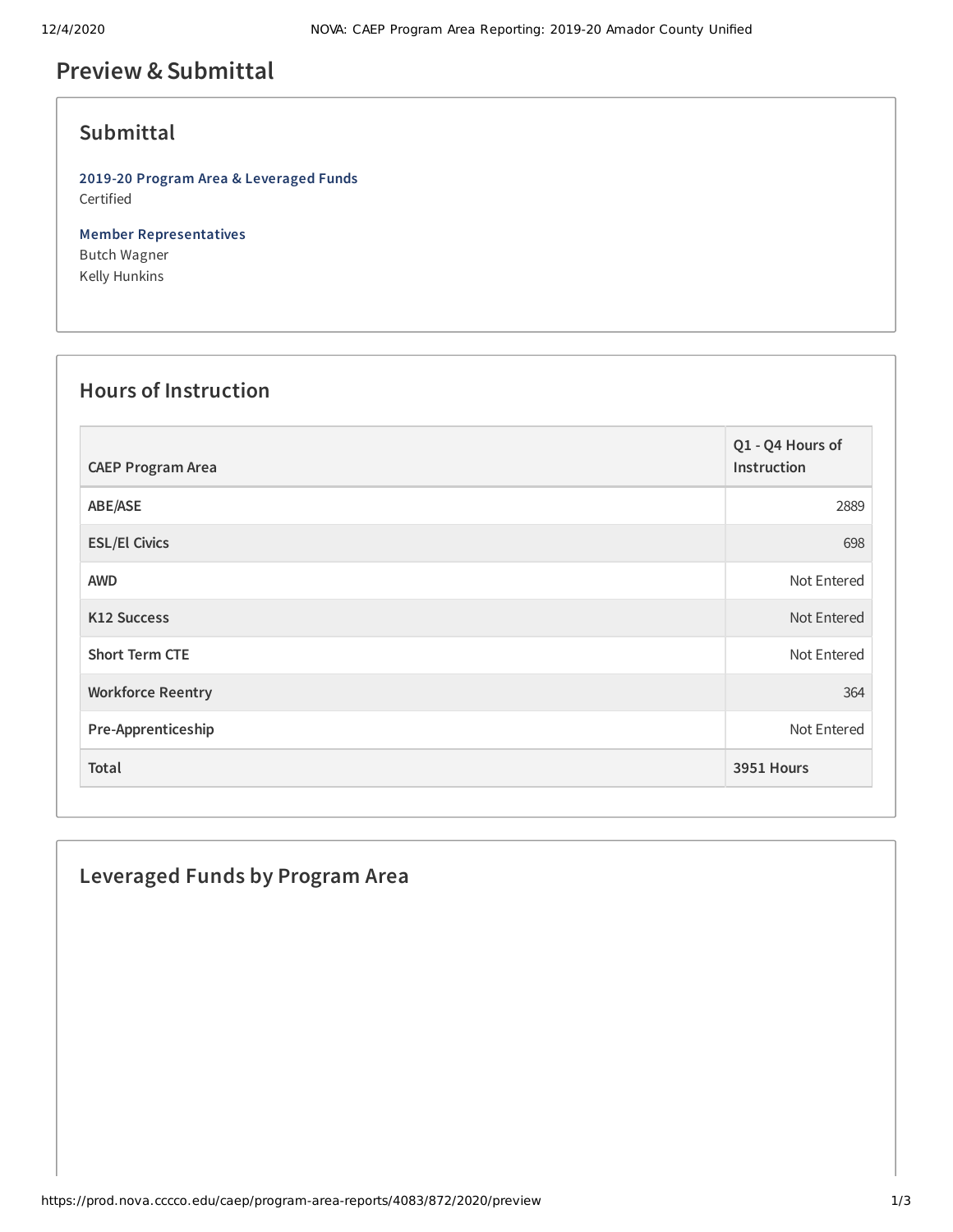## **Preview &Submittal**

## **Submittal**

**2019-20 Program Area & Leveraged Funds** Certified

**Member Representatives** Butch Wagner Kelly Hunkins

## **Hours of Instruction**

| <b>CAEP Program Area</b> | Q1 - Q4 Hours of<br>Instruction |
|--------------------------|---------------------------------|
| ABE/ASE                  | 2889                            |
| <b>ESL/El Civics</b>     | 698                             |
| <b>AWD</b>               | Not Entered                     |
| <b>K12 Success</b>       | Not Entered                     |
| <b>Short Term CTE</b>    | Not Entered                     |
| <b>Workforce Reentry</b> | 364                             |
| Pre-Apprenticeship       | Not Entered                     |
| Total                    | 3951 Hours                      |

# **Leveraged Funds by Program Area**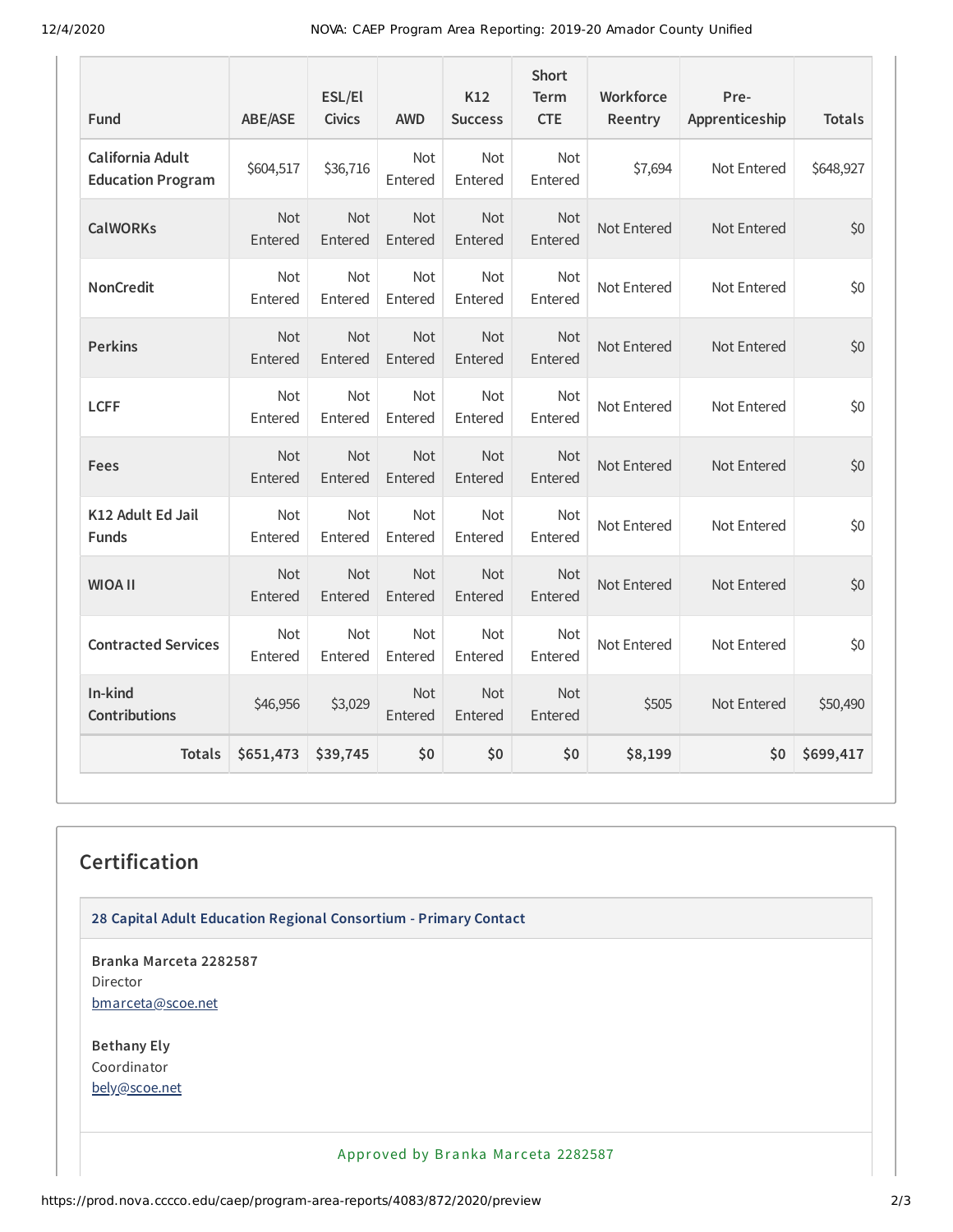12/4/2020 NOVA: CAEP Program Area Reporting: 2019-20 Amador County Unified

| Fund                                         | <b>ABE/ASE</b>        | ESL/El<br><b>Civics</b> | <b>AWD</b>            | K12<br><b>Success</b> | <b>Short</b><br>Term<br><b>CTE</b> | Workforce<br>Reentry | Pre-<br>Apprenticeship | <b>Totals</b> |
|----------------------------------------------|-----------------------|-------------------------|-----------------------|-----------------------|------------------------------------|----------------------|------------------------|---------------|
| California Adult<br><b>Education Program</b> | \$604,517             | \$36,716                | <b>Not</b><br>Entered | Not<br>Entered        | Not<br>Entered                     | \$7,694              | Not Entered            | \$648,927     |
| <b>CalWORKs</b>                              | Not<br>Entered        | <b>Not</b><br>Entered   | Not<br>Entered        | Not<br>Entered        | Not<br>Entered                     | Not Entered          | Not Entered            | \$0           |
| <b>NonCredit</b>                             | <b>Not</b><br>Entered | <b>Not</b><br>Entered   | Not<br>Entered        | Not<br>Entered        | <b>Not</b><br>Entered              | Not Entered          | Not Entered            | \$0           |
| <b>Perkins</b>                               | <b>Not</b><br>Entered | <b>Not</b><br>Entered   | <b>Not</b><br>Entered | Not<br>Entered        | <b>Not</b><br>Entered              | Not Entered          | Not Entered            | \$0           |
| <b>LCFF</b>                                  | <b>Not</b><br>Entered | <b>Not</b><br>Entered   | Not<br>Entered        | Not<br>Entered        | Not<br>Entered                     | Not Entered          | Not Entered            | \$0           |
| Fees                                         | Not<br>Entered        | <b>Not</b><br>Entered   | Not<br>Entered        | Not<br>Entered        | Not<br>Entered                     | Not Entered          | Not Entered            | \$0           |
| K12 Adult Ed Jail<br><b>Funds</b>            | <b>Not</b><br>Entered | Not<br>Entered          | Not<br>Entered        | Not<br>Entered        | Not<br>Entered                     | Not Entered          | Not Entered            | \$0           |
| <b>WIOA II</b>                               | Not<br>Entered        | <b>Not</b><br>Entered   | Not<br>Entered        | Not<br>Entered        | Not<br>Entered                     | Not Entered          | Not Entered            | \$0           |
| <b>Contracted Services</b>                   | <b>Not</b><br>Entered | Not<br>Entered          | Not<br>Entered        | Not<br>Entered        | Not<br>Entered                     | Not Entered          | Not Entered            | \$0           |
| In-kind<br><b>Contributions</b>              | \$46,956              | \$3,029                 | Not<br>Entered        | Not<br>Entered        | Not<br>Entered                     | \$505                | Not Entered            | \$50,490      |
| <b>Totals</b>                                | \$651,473             | \$39,745                | \$0                   | \$0                   | \$0                                | \$8,199              | \$0                    | \$699,417     |

## **Certification**

**28 Capital Adult Education Regional Consortium - Primary Contact**

**Branka Marceta 2282587** Director [bmarceta@scoe.net](mailto:bmarceta@scoe.net)

**Bethany Ely** Coordinator [bely@scoe.net](mailto:bely@scoe.net)

Approved by Branka Marceta 2282587